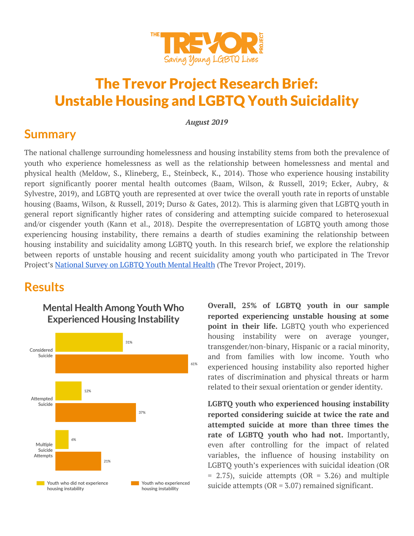

# The Trevor Project Research Brief: Unstable Housing and LGBTQ Youth Suicidality

*August 2019*

#### **Summary**

The national challenge surrounding homelessness and housing instability stems from both the prevalence of youth who experience homelessness as well as the relationship between homelessness and mental and physical health (Meldow, S., Klineberg, E., Steinbeck, K., 2014). Those who experience housing instability report significantly poorer mental health outcomes (Baam, Wilson, & Russell, 2019; Ecker, Aubry, & Sylvestre, 2019), and LGBTQ youth are represented at over twice the overall youth rate in reports of unstable housing (Baams, Wilson, & Russell, 2019; Durso & Gates, 2012). This is alarming given that LGBTQ youth in general report significantly higher rates of considering and attempting suicide compared to heterosexual and/or cisgender youth (Kann et al., 2018). Despite the overrepresentation of LGBTQ youth among those experiencing housing instability, there remains a dearth of studies examining the relationship between housing instability and suicidality among LGBTQ youth. In this research brief, we explore the relationship between reports of unstable housing and recent suicidality among youth who participated in The Trevor Project's [National](https://www.thetrevorproject.org/LGBTQYouthMentalHealth) Survey on LGBTQ Youth Mental Health (The Trevor Project, 2019).

### **Results**





**Overall, 25% of LGBTQ youth in our sample reported experiencing unstable housing at some point in their life.** LGBTQ youth who experienced housing instability were on average younger, transgender/non-binary, Hispanic or a racial minority, and from families with low income. Youth who experienced housing instability also reported higher rates of discrimination and physical threats or harm related to their sexual orientation or gender identity.

**LGBTQ youth who experienced housing instability reported considering suicide at twice the rate and attempted suicide at more than three times the rate of LGBTQ youth who had not.** Importantly, even after controlling for the impact of related variables, the influence of housing instability on LGBTQ youth's experiences with suicidal ideation (OR  $= 2.75$ ), suicide attempts (OR  $= 5.26$ ) and multiple suicide attempts ( $OR = 3.07$ ) remained significant.